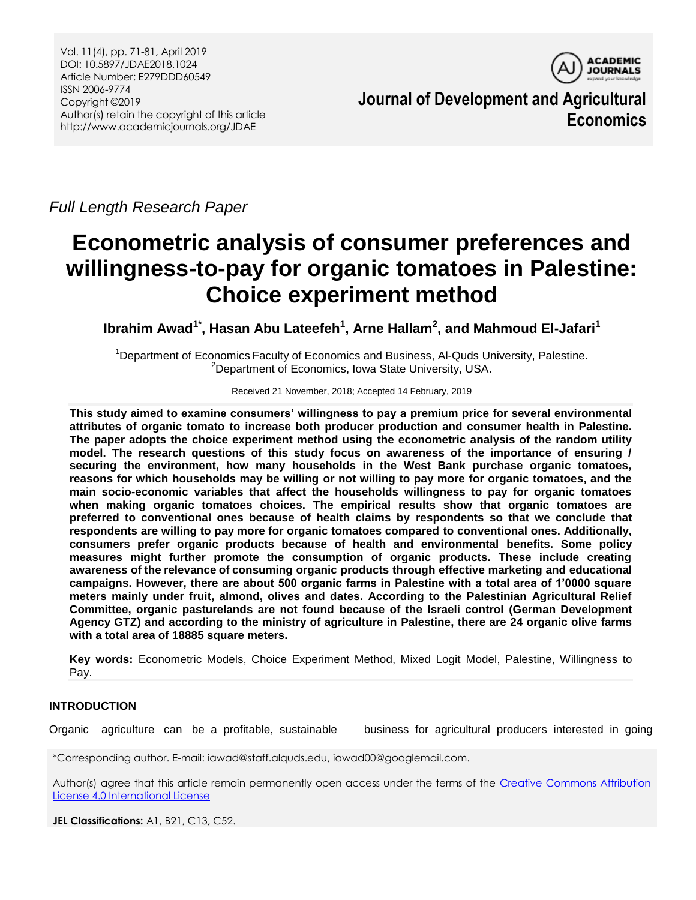

**Journal of Development and Agricultural Economics**

*Full Length Research Paper*

# **Econometric analysis of consumer preferences and willingness-to-pay for organic tomatoes in Palestine: Choice experiment method**

**Ibrahim Awad1\* , Hasan Abu Lateefeh<sup>1</sup> , Arne Hallam<sup>2</sup> , and Mahmoud El-Jafari<sup>1</sup>**

<sup>1</sup>Department of Economics Faculty of Economics and Business, Al-Quds University, Palestine. <sup>2</sup>Department of Economics, Iowa State University, USA.

Received 21 November, 2018; Accepted 14 February, 2019

**This study aimed to examine consumers' willingness to pay a premium price for several environmental attributes of organic tomato to increase both producer production and consumer health in Palestine. The paper adopts the choice experiment method using the econometric analysis of the random utility model. The research questions of this study focus on awareness of the importance of ensuring / securing the environment, how many households in the West Bank purchase organic tomatoes, reasons for which households may be willing or not willing to pay more for organic tomatoes, and the main socio-economic variables that affect the households willingness to pay for organic tomatoes when making organic tomatoes choices. The empirical results show that organic tomatoes are preferred to conventional ones because of health claims by respondents so that we conclude that respondents are willing to pay more for organic tomatoes compared to conventional ones. Additionally, consumers prefer organic products because of health and environmental benefits. Some policy measures might further promote the consumption of organic products. These include creating awareness of the relevance of consuming organic products through effective marketing and educational campaigns. However, there are about 500 organic farms in Palestine with a total area of 1'0000 square meters mainly under fruit, almond, olives and dates. According to the Palestinian Agricultural Relief Committee, organic pasturelands are not found because of the Israeli control (German Development Agency GTZ) and according to the ministry of agriculture in Palestine, there are 24 organic olive farms with a total area of 18885 square meters.**

**Key words:** Econometric Models, Choice Experiment Method, Mixed Logit Model, Palestine, Willingness to Pay.

# **INTRODUCTION**

Organic agriculture can be a profitable, sustainable business for agricultural producers interested in going

\*Corresponding author. E-mail: iawad@staff.alquds.edu, iawad00@googlemail.com.

Author(s) agree that this article remain permanently open access under the terms of the [Creative Commons Attribution](http://creativecommons.org/licenses/by/4.0/deed.en_US)  [License 4.0 International License](http://creativecommons.org/licenses/by/4.0/deed.en_US)

**JEL Classifications:** A1, B21, C13, C52.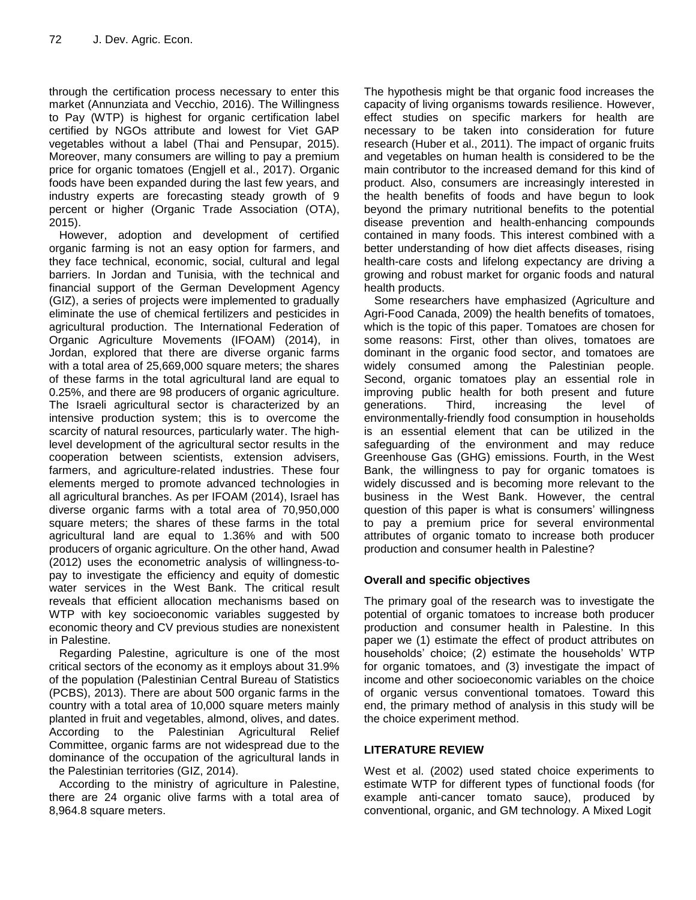through the certification process necessary to enter this market (Annunziata and Vecchio, 2016). The Willingness to Pay (WTP) is highest for organic certification label certified by NGOs attribute and lowest for Viet GAP vegetables without a label (Thai and Pensupar, 2015). Moreover, many consumers are willing to pay a premium price for organic tomatoes (Engjell et al., 2017). Organic foods have been expanded during the last few years, and industry experts are forecasting steady growth of 9 percent or higher (Organic Trade Association (OTA), 2015).

However, adoption and development of certified organic farming is not an easy option for farmers, and they face technical, economic, social, cultural and legal barriers. In Jordan and Tunisia, with the technical and financial support of the German Development Agency (GIZ), a series of projects were implemented to gradually eliminate the use of chemical fertilizers and pesticides in agricultural production. The International Federation of Organic Agriculture Movements (IFOAM) (2014), in Jordan, explored that there are diverse organic farms with a total area of 25,669,000 square meters; the shares of these farms in the total agricultural land are equal to 0.25%, and there are 98 producers of organic agriculture. The Israeli agricultural sector is characterized by an intensive production system; this is to overcome the scarcity of natural resources, particularly water. The highlevel development of the agricultural sector results in the cooperation between scientists, extension advisers, farmers, and agriculture-related industries. These four elements merged to promote advanced technologies in all agricultural branches. As per IFOAM (2014), Israel has diverse organic farms with a total area of 70,950,000 square meters; the shares of these farms in the total agricultural land are equal to 1.36% and with 500 producers of organic agriculture. On the other hand, Awad (2012) uses the econometric analysis of willingness-topay to investigate the efficiency and equity of domestic water services in the West Bank. The critical result reveals that efficient allocation mechanisms based on WTP with key socioeconomic variables suggested by economic theory and CV previous studies are nonexistent in Palestine.

Regarding Palestine, agriculture is one of the most critical sectors of the economy as it employs about 31.9% of the population (Palestinian Central Bureau of Statistics (PCBS), 2013). There are about 500 organic farms in the country with a total area of 10,000 square meters mainly planted in fruit and vegetables, almond, olives, and dates. According to the Palestinian Agricultural Relief Committee, organic farms are not widespread due to the dominance of the occupation of the agricultural lands in the Palestinian territories (GIZ, 2014).

According to the ministry of agriculture in Palestine, there are 24 organic olive farms with a total area of 8,964.8 square meters.

The hypothesis might be that organic food increases the capacity of living organisms towards resilience. However, effect studies on specific markers for health are necessary to be taken into consideration for future research (Huber et al., 2011). The impact of organic fruits and vegetables on human health is considered to be the main contributor to the increased demand for this kind of product. Also, consumers are increasingly interested in the health benefits of foods and have begun to look beyond the primary nutritional benefits to the potential disease prevention and health-enhancing compounds contained in many foods. This interest combined with a better understanding of how diet affects diseases, rising health-care costs and lifelong expectancy are driving a growing and robust market for organic foods and natural health products.

Some researchers have emphasized (Agriculture and Agri-Food Canada, 2009) the health benefits of tomatoes, which is the topic of this paper. Tomatoes are chosen for some reasons: First, other than olives, tomatoes are dominant in the organic food sector, and tomatoes are widely consumed among the Palestinian people. Second, organic tomatoes play an essential role in improving public health for both present and future generations. Third, increasing the level of environmentally-friendly food consumption in households is an essential element that can be utilized in the safeguarding of the environment and may reduce Greenhouse Gas (GHG) emissions. Fourth, in the West Bank, the willingness to pay for organic tomatoes is widely discussed and is becoming more relevant to the business in the West Bank. However, the central question of this paper is what is consumers' willingness to pay a premium price for several environmental attributes of organic tomato to increase both producer production and consumer health in Palestine?

# **Overall and specific objectives**

The primary goal of the research was to investigate the potential of organic tomatoes to increase both producer production and consumer health in Palestine. In this paper we (1) estimate the effect of product attributes on households' choice; (2) estimate the households' WTP for organic tomatoes, and (3) investigate the impact of income and other socioeconomic variables on the choice of organic versus conventional tomatoes. Toward this end, the primary method of analysis in this study will be the choice experiment method.

# **LITERATURE REVIEW**

West et al. (2002) used stated choice experiments to estimate WTP for different types of functional foods (for example anti-cancer tomato sauce), produced by conventional, organic, and GM technology. A Mixed Logit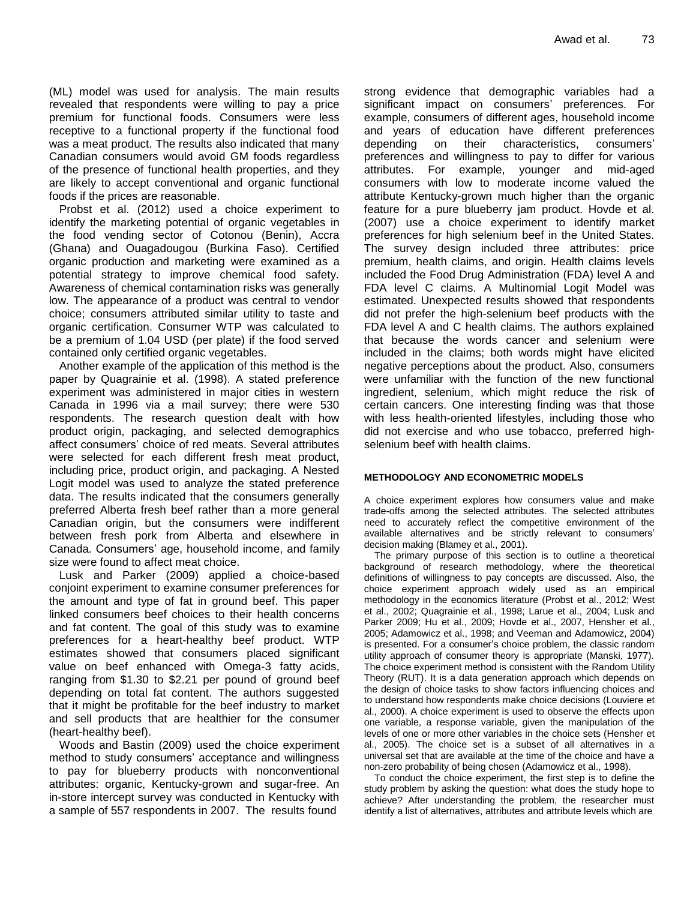(ML) model was used for analysis. The main results revealed that respondents were willing to pay a price premium for functional foods. Consumers were less receptive to a functional property if the functional food was a meat product. The results also indicated that many Canadian consumers would avoid GM foods regardless of the presence of functional health properties, and they are likely to accept conventional and organic functional foods if the prices are reasonable.

Probst et al. (2012) used a choice experiment to identify the marketing potential of organic vegetables in the food vending sector of Cotonou (Benin), Accra (Ghana) and Ouagadougou (Burkina Faso). Certified organic production and marketing were examined as a potential strategy to improve chemical food safety. Awareness of chemical contamination risks was generally low. The appearance of a product was central to vendor choice; consumers attributed similar utility to taste and organic certification. Consumer WTP was calculated to be a premium of 1.04 USD (per plate) if the food served contained only certified organic vegetables.

Another example of the application of this method is the paper by Quagrainie et al. (1998). A stated preference experiment was administered in major cities in western Canada in 1996 via a mail survey; there were 530 respondents. The research question dealt with how product origin, packaging, and selected demographics affect consumers' choice of red meats. Several attributes were selected for each different fresh meat product, including price, product origin, and packaging. A Nested Logit model was used to analyze the stated preference data. The results indicated that the consumers generally preferred Alberta fresh beef rather than a more general Canadian origin, but the consumers were indifferent between fresh pork from Alberta and elsewhere in Canada. Consumers' age, household income, and family size were found to affect meat choice.

Lusk and Parker (2009) applied a choice-based conjoint experiment to examine consumer preferences for the amount and type of fat in ground beef. This paper linked consumers beef choices to their health concerns and fat content. The goal of this study was to examine preferences for a heart-healthy beef product. WTP estimates showed that consumers placed significant value on beef enhanced with Omega-3 fatty acids, ranging from \$1.30 to \$2.21 per pound of ground beef depending on total fat content. The authors suggested that it might be profitable for the beef industry to market and sell products that are healthier for the consumer (heart-healthy beef).

Woods and Bastin (2009) used the choice experiment method to study consumers' acceptance and willingness to pay for blueberry products with nonconventional attributes: organic, Kentucky-grown and sugar-free. An in-store intercept survey was conducted in Kentucky with a sample of 557 respondents in 2007. The results found

strong evidence that demographic variables had a significant impact on consumers' preferences. For example, consumers of different ages, household income and years of education have different preferences depending on their characteristics, consumers' preferences and willingness to pay to differ for various attributes. For example, younger and mid-aged consumers with low to moderate income valued the attribute Kentucky-grown much higher than the organic feature for a pure blueberry jam product. Hovde et al. (2007) use a choice experiment to identify market preferences for high selenium beef in the United States. The survey design included three attributes: price premium, health claims, and origin. Health claims levels included the Food [Drug](http://www.google.com/url?sa=t&rct=j&q=&esrc=s&source=web&cd=1&cad=rja&uact=8&ved=0CCYQygQwAA&url=http%3A%2F%2Fwww.fda.gov%2Ffood%2Fguidanceregulation%2Fguidancedocumentsregulatoryinformation%2Fsanitationtransportation%2Fucm056174.htm%23CHPT3&ei=T1D-U-mCNoGTyATB84HwAw&usg=AFQjCNFBpf350qZyf1lGqVvSmAw51SKU-Q&sig2=sqQLmZ3u8TUTgkLJoY1rpQ) Administration (FDA) level A and FDA level C claims. A Multinomial Logit Model was estimated. Unexpected results showed that respondents did not prefer the high-selenium beef products with the FDA level A and C health claims. The authors explained that because the words cancer and selenium were included in the claims; both words might have elicited negative perceptions about the product. Also, consumers were unfamiliar with the function of the new functional ingredient, selenium, which might reduce the risk of certain cancers. One interesting finding was that those with less health-oriented lifestyles, including those who did not exercise and who use tobacco, preferred highselenium beef with health claims.

## **METHODOLOGY AND ECONOMETRIC MODELS**

A choice experiment explores how consumers value and make trade-offs among the selected attributes. The selected attributes need to accurately reflect the competitive environment of the available alternatives and be strictly relevant to consumers' decision making (Blamey et al., 2001).

The primary purpose of this section is to outline a theoretical background of research methodology, where the theoretical definitions of willingness to pay concepts are discussed. Also, the choice experiment approach widely used as an empirical methodology in the economics literature (Probst et al., 2012; West et al., 2002; Quagrainie et al., 1998; Larue et al., 2004; Lusk and Parker 2009; Hu et al., 2009; Hovde et al., 2007, Hensher et al., 2005; Adamowicz et al., 1998; and Veeman and Adamowicz, 2004) is presented. For a consumer's choice problem, the classic random utility approach of consumer theory is appropriate (Manski, 1977). The choice experiment method is consistent with the Random Utility Theory (RUT). It is a data generation approach which depends on the design of choice tasks to show factors influencing choices and to understand how respondents make choice decisions (Louviere et al., 2000). A choice experiment is used to observe the effects upon one variable, a response variable, given the manipulation of the levels of one or more other variables in the choice sets (Hensher et al., 2005). The choice set is a subset of all alternatives in a universal set that are available at the time of the choice and have a non-zero probability of being chosen (Adamowicz et al., 1998).

To conduct the choice experiment, the first step is to define the study problem by asking the question: what does the study hope to achieve? After understanding the problem, the researcher must identify a list of alternatives, attributes and attribute levels which are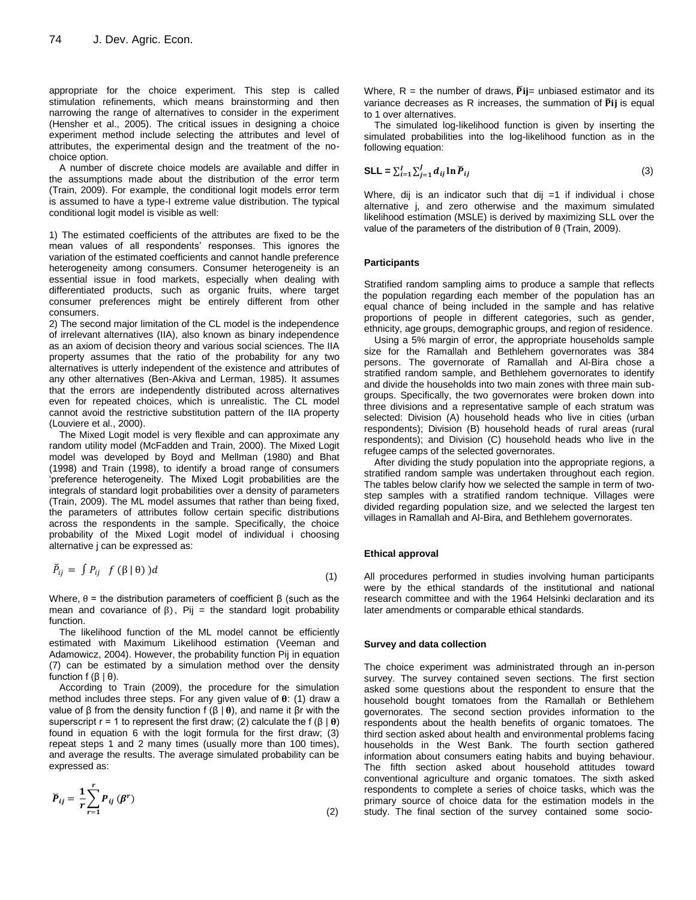appropriate for the choice experiment. This step is called stimulation refinements, which means brainstorming and then narrowing the range of alternatives to consider in the experiment (Hensher et al., 2005). The critical issues in designing a choice experiment method include selecting the attributes and level of attributes, the experimental design and the treatment of the nochoice option.

A number of discrete choice models are available and differ in the assumptions made about the distribution of the error term (Train, 2009). For example, the conditional logit models error term is assumed to have a type-I extreme value distribution. The typical conditional logit model is visible as well:

1) The estimated coefficients of the attributes are fixed to be the mean values of all respondents' responses. This ignores the variation of the estimated coefficients and cannot handle preference heterogeneity among consumers. Consumer heterogeneity is an essential issue in food markets, especially when dealing with differentiated products, such as organic fruits, where target consumer preferences might be entirely different from other consumers.

2) The second major limitation of the CL model is the independence of irrelevant alternatives (IIA), also known as binary independence as an axiom of decision theory and various social sciences. The IIA property assumes that the ratio of the probability for any two alternatives is utterly independent of the existence and attributes of any other alternatives (Ben-Akiva and Lerman, 1985). It assumes that the errors are independently distributed across alternatives even for repeated choices, which is unrealistic. The CL model cannot avoid the restrictive substitution pattern of the IIA property (Louviere et al., 2000).

The Mixed Logit model is very flexible and can approximate any random utility model (McFadden and Train, 2000). The Mixed Logit model was developed by Boyd and Mellman (1980) and Bhat (1998) and Train (1998), to identify a broad range of consumers 'preference heterogeneity. The Mixed Logit probabilities are the integrals of standard logit probabilities over a density of parameters (Train, 2009). The ML model assumes that rather than being fixed, the parameters of attributes follow certain specific distributions across the respondents in the sample. Specifically, the choice probability of the Mixed Logit model of individual i choosing alternative j can be expressed as:

$$
\breve{P}_{ij} = \int P_{ij} f(\beta | \theta) d
$$
\n(1)

Where,  $\theta$  = the distribution parameters of coefficient  $\beta$  (such as the mean and covariance of  $\beta$ ), Pij = the standard logit probability function.

The likelihood function of the ML model cannot be efficiently estimated with Maximum Likelihood estimation (Veeman and Adamowicz, 2004). However, the probability function Pij in equation (7) can be estimated by a simulation method over the density function f ( $\beta$  | θ).

According to Train (2009), the procedure for the simulation method includes three steps. For any given value of  $\theta$ : (1) draw a value of β from the density function f (β |  $\theta$ ), and name it βr with the superscript r = 1 to represent the first draw; (2) calculate the f ( $\beta | \theta$ ) found in equation 6 with the logit formula for the first draw; (3) repeat steps 1 and 2 many times (usually more than 100 times), and average the results. The average simulated probability can be expressed as:

$$
\breve{P}_{ij} = \frac{1}{r} \sum_{r=1}^{r} P_{ij} \left( \boldsymbol{\beta}^r \right) \tag{2}
$$

Where,  $R =$  the number of draws,  $\overline{P}$ ij = unbiased estimator and its variance decreases as  $R$  increases, the summation of  $\overline{P}$ ij is equal to 1 over alternatives.

The simulated log-likelihood function is given by inserting the simulated probabilities into the log-likelihood function as in the following equation:

$$
SLL = \sum_{i=1}^{I} \sum_{j=1}^{J} d_{ij} \ln \breve{P}_{ij}
$$
 (3)

Where, dij is an indicator such that dij  $=1$  if individual i chose alternative j, and zero otherwise and the maximum simulated likelihood estimation (MSLE) is derived by maximizing SLL over the value of the parameters of the distribution of θ (Train, 2009).

#### **Participants**

Stratified random sampling aims to produce a sample that reflects the population regarding each member of the population has an equal chance of being included in the sample and has relative proportions of people in different categories, such as gender, ethnicity, age groups, demographic groups, and region of residence.

Using a 5% margin of error, the appropriate households sample size for the Ramallah and Bethlehem governorates was 384 persons. The governorate of Ramallah and Al-Bira chose a stratified random sample, and Bethlehem governorates to identify and divide the households into two main zones with three main subgroups. Specifically, the two governorates were broken down into three divisions and a representative sample of each stratum was selected: Division (A) household heads who live in cities (urban respondents); Division (B) household heads of rural areas (rural respondents); and Division (C) household heads who live in the refugee camps of the selected governorates.

After dividing the study population into the appropriate regions, a stratified random sample was undertaken throughout each region. The tables below clarify how we selected the sample in term of twostep samples with a stratified random technique. Villages were divided regarding population size, and we selected the largest ten villages in Ramallah and Al-Bira, and Bethlehem governorates.

#### **Ethical approval**

All procedures performed in studies involving human participants were by the ethical standards of the institutional and national research committee and with the 1964 Helsinki declaration and its later amendments or comparable ethical standards.

#### **Survey and data collection**

The choice experiment was administrated through an in-person survey. The survey contained seven sections. The first section asked some questions about the respondent to ensure that the household bought tomatoes from the Ramallah or Bethlehem governorates. The second section provides information to the respondents about the health benefits of organic tomatoes. The third section asked about health and environmental problems facing households in the West Bank. The fourth section gathered information about consumers eating habits and buying behaviour. The fifth section asked about household attitudes toward conventional agriculture and organic tomatoes. The sixth asked respondents to complete a series of choice tasks, which was the primary source of choice data for the estimation models in the study. The final section of the survey contained some socio-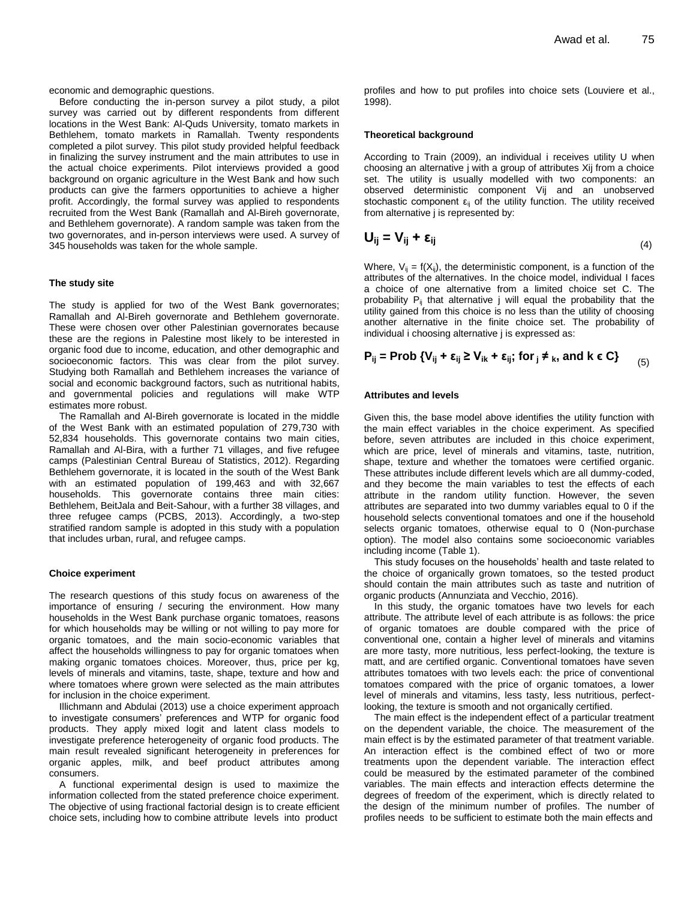Before conducting the in-person survey a pilot study, a pilot survey was carried out by different respondents from different locations in the West Bank: Al-Quds University, tomato markets in Bethlehem, tomato markets in Ramallah. Twenty respondents completed a pilot survey. This pilot study provided helpful feedback in finalizing the survey instrument and the main attributes to use in the actual choice experiments. Pilot interviews provided a good background on organic agriculture in the West Bank and how such products can give the farmers opportunities to achieve a higher profit. Accordingly, the formal survey was applied to respondents recruited from the West Bank (Ramallah and Al-Bireh governorate, and Bethlehem governorate). A random sample was taken from the two governorates, and in-person interviews were used. A survey of 345 households was taken for the whole sample.

#### **The study site**

The study is applied for two of the West Bank governorates; Ramallah and Al-Bireh governorate and Bethlehem governorate. These were chosen over other Palestinian governorates because these are the regions in Palestine most likely to be interested in organic food due to income, education, and other demographic and socioeconomic factors. This was clear from the pilot survey. Studying both Ramallah and Bethlehem increases the variance of social and economic background factors, such as nutritional habits, and governmental policies and regulations will make WTP estimates more robust.

The Ramallah and Al-Bireh governorate is located in the middle of the West Bank with an estimated population of 279,730 with 52,834 households. This governorate contains two main cities, Ramallah and Al-Bira, with a further 71 villages, and five refugee camps (Palestinian Central Bureau of Statistics, 2012). Regarding Bethlehem governorate, it is located in the south of the West Bank with an estimated population of 199,463 and with 32,667 households. This governorate contains three main cities: Bethlehem, BeitJala and Beit-Sahour, with a further 38 villages, and three refugee camps (PCBS, 2013). Accordingly, a two-step stratified random sample is adopted in this study with a population that includes urban, rural, and refugee camps.

#### **Choice experiment**

The research questions of this study focus on awareness of the importance of ensuring / securing the environment. How many households in the West Bank purchase organic tomatoes, reasons for which households may be willing or not willing to pay more for organic tomatoes, and the main socio-economic variables that affect the households willingness to pay for organic tomatoes when making organic tomatoes choices. Moreover, thus, price per kg, levels of minerals and vitamins, taste, shape, texture and how and where tomatoes where grown were selected as the main attributes for inclusion in the choice experiment.

Illichmann and Abdulai (2013) use a choice experiment approach to investigate consumers' preferences and WTP for organic food products. They apply mixed logit and latent class models to investigate preference heterogeneity of organic food products. The main result revealed significant heterogeneity in preferences for organic apples, milk, and beef product attributes among consumers.

A functional experimental design is used to maximize the information collected from the stated preference choice experiment. The objective of using fractional factorial design is to create efficient choice sets, including how to combine attribute levels into product

profiles and how to put profiles into choice sets (Louviere et al., 1998).

#### **Theoretical background**

According to Train (2009), an individual i receives utility U when choosing an alternative j with a group of attributes Xij from a choice set. The utility is usually modelled with two components: an observed deterministic component Vij and an unobserved stochastic component  $\varepsilon_{ii}$  of the utility function. The utility received from alternative j is represented by:

$$
\mathbf{U}_{ij} = \mathbf{V}_{ij} + \varepsilon_{ij} \tag{4}
$$

Where,  $V_{ii} = f(X_{ii})$ , the deterministic component, is a function of the attributes of the alternatives. In the choice model, individual I faces a choice of one alternative from a limited choice set C. The probability  $P_{ii}$  that alternative j will equal the probability that the utility gained from this choice is no less than the utility of choosing another alternative in the finite choice set. The probability of individual i choosing alternative *i* is expressed as:

$$
P_{ij} = \text{Prob } \{ V_{ij} + \epsilon_{ij} \geq V_{ik} + \epsilon_{ij}; \text{ for } j \neq k, \text{ and } k \in C \} \qquad (5)
$$

#### **Attributes and levels**

Given this, the base model above identifies the utility function with the main effect variables in the choice experiment. As specified before, seven attributes are included in this choice experiment, which are price, level of minerals and vitamins, taste, nutrition, shape, texture and whether the tomatoes were certified organic. These attributes include different levels which are all dummy-coded, and they become the main variables to test the effects of each attribute in the random utility function. However, the seven attributes are separated into two dummy variables equal to 0 if the household selects conventional tomatoes and one if the household selects organic tomatoes, otherwise equal to 0 (Non-purchase option). The model also contains some socioeconomic variables including income (Table 1).

This study focuses on the households' health and taste related to the choice of organically grown tomatoes, so the tested product should contain the main attributes such as taste and nutrition of organic products (Annunziata and Vecchio, 2016).

In this study, the organic tomatoes have two levels for each attribute. The attribute level of each attribute is as follows: the price of organic tomatoes are double compared with the price of conventional one, contain a higher level of minerals and vitamins are more tasty, more nutritious, less perfect-looking, the texture is matt, and are certified organic. Conventional tomatoes have seven attributes tomatoes with two levels each: the price of conventional tomatoes compared with the price of organic tomatoes, a lower level of minerals and vitamins, less tasty, less nutritious, perfectlooking, the texture is smooth and not organically certified.

The main effect is the independent effect of a particular treatment on the dependent variable, the choice. The measurement of the main effect is by the estimated parameter of that treatment variable. An interaction effect is the combined effect of two or more treatments upon the dependent variable. The interaction effect could be measured by the estimated parameter of the combined variables. The main effects and interaction effects determine the degrees of freedom of the experiment, which is directly related to the design of the minimum number of profiles. The number of profiles needs to be sufficient to estimate both the main effects and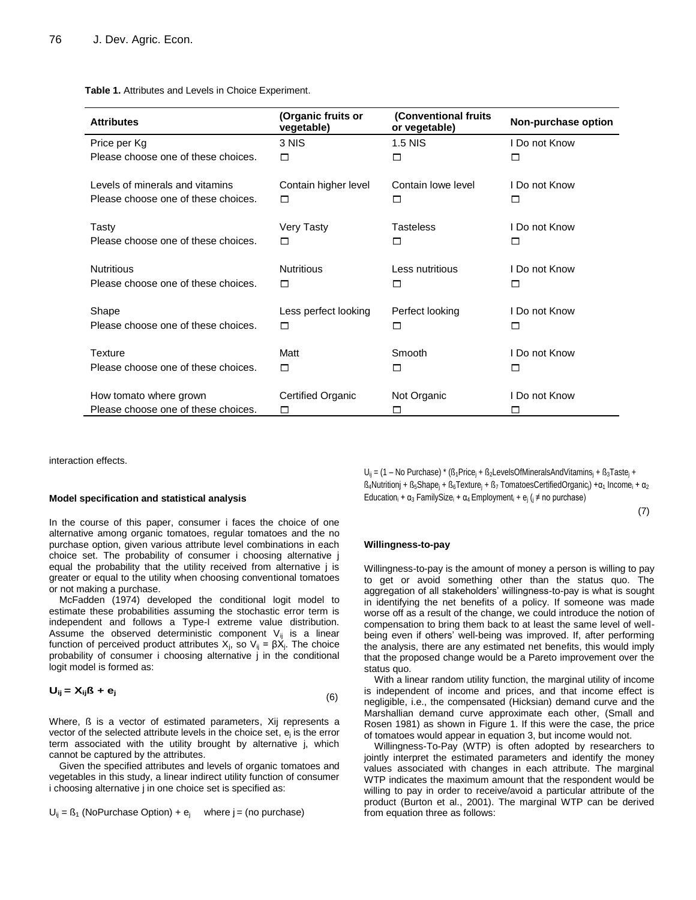**Table 1.** Attributes and Levels in Choice Experiment.

| <b>Attributes</b>                   | (Organic fruits or<br>vegetable) | (Conventional fruits<br>or vegetable) | Non-purchase option |  |
|-------------------------------------|----------------------------------|---------------------------------------|---------------------|--|
| Price per Kg                        | 3 NIS                            | 1.5 NIS                               | I Do not Know       |  |
| Please choose one of these choices. | П                                | П                                     | □                   |  |
| Levels of minerals and vitamins     | Contain higher level             | Contain lowe level                    | I Do not Know       |  |
| Please choose one of these choices. | $\Box$                           | □                                     | $\Box$              |  |
| Tasty                               | Very Tasty                       | <b>Tasteless</b>                      | I Do not Know       |  |
| Please choose one of these choices. | П                                | □                                     | □                   |  |
| <b>Nutritious</b>                   | <b>Nutritious</b>                | Less nutritious                       | I Do not Know       |  |
| Please choose one of these choices. | П                                | □                                     | □                   |  |
| Shape                               | Less perfect looking             | Perfect looking                       | I Do not Know       |  |
| Please choose one of these choices. | □                                | □                                     | □                   |  |
| Texture                             | Matt                             | Smooth                                | I Do not Know       |  |
| Please choose one of these choices. | □                                | □                                     | □                   |  |
|                                     |                                  |                                       |                     |  |
| How tomato where grown              | <b>Certified Organic</b>         | Not Organic                           | I Do not Know       |  |
| Please choose one of these choices. | □                                | □                                     | □                   |  |

interaction effects.

#### **Model specification and statistical analysis**

In the course of this paper, consumer i faces the choice of one alternative among organic tomatoes, regular tomatoes and the no purchase option, given various attribute level combinations in each choice set. The probability of consumer i choosing alternative j equal the probability that the utility received from alternative j is greater or equal to the utility when choosing conventional tomatoes or not making a purchase.

McFadden (1974) developed the conditional logit model to estimate these probabilities assuming the stochastic error term is independent and follows a Type-I extreme value distribution. Assume the observed deterministic component  $V_{ij}$  is a linear function of perceived product attributes  $X_j$ , so  $V_{ij} = \beta X_j$ . The choice probability of consumer i choosing alternative j in the conditional logit model is formed as:

$$
U_{ij} = X_{ij}B + e_j
$$
 (6)

Where, ß is a vector of estimated parameters, Xij represents a vector of the selected attribute levels in the choice set,  $e_i$  is the error term associated with the utility brought by alternative j, which cannot be captured by the attributes.

Given the specified attributes and levels of organic tomatoes and vegetables in this study, a linear indirect utility function of consumer i choosing alternative j in one choice set is specified as:

$$
U_{ij} = B_1
$$
 (NoPurchase Option) + e<sub>j</sub> where j = (no purchase)

 $U_{ij}$  = (1 – No Purchase) \* ( $\beta_1$ Price<sub>j</sub> +  $\beta_2$ LevelsOfMineralsAndVitamins<sub>i</sub> +  $\beta_3$ Taste<sub>j</sub> +  $\beta_4$ Nutritionj +  $\beta_5$ Shape<sub>i</sub> +  $\beta_6$ Texture<sub>i</sub> +  $\beta_7$  TomatoesCertifiedOrganic<sub>i</sub>) + $\alpha_1$  Income<sub>i</sub> +  $\alpha_2$ Education<sub>i</sub> +  $\alpha_3$  FamilySize<sub>i</sub> +  $\alpha_4$  Employment<sub>i</sub> +  $e_i$  ( $_i \neq$  no purchase)

 $(7)$ 

#### **Willingness-to-pay**

Willingness-to-pay is the amount of money a person is willing to pay to get or avoid something other than the status quo. The aggregation of all stakeholders' willingness-to-pay is what is sought in identifying the net benefits of a policy. If someone was made worse off as a result of the change, we could introduce the notion of compensation to bring them back to at least the same level of wellbeing even if others' well-being was improved. If, after performing the analysis, there are any estimated net benefits, this would imply that the proposed change would be a Pareto improvement over the status quo.

With a linear random utility function, the marginal utility of income is independent of income and prices, and that income effect is negligible, i.e., the compensated (Hicksian) demand curve and the Marshallian demand curve approximate each other, (Small and Rosen 1981) as shown in Figure 1. If this were the case, the price of tomatoes would appear in equation 3, but income would not.

Willingness-To-Pay (WTP) is often adopted by researchers to jointly interpret the estimated parameters and identify the money values associated with changes in each attribute. The marginal WTP indicates the maximum amount that the respondent would be willing to pay in order to receive/avoid a particular attribute of the product (Burton et al., 2001). The marginal WTP can be derived from equation three as follows: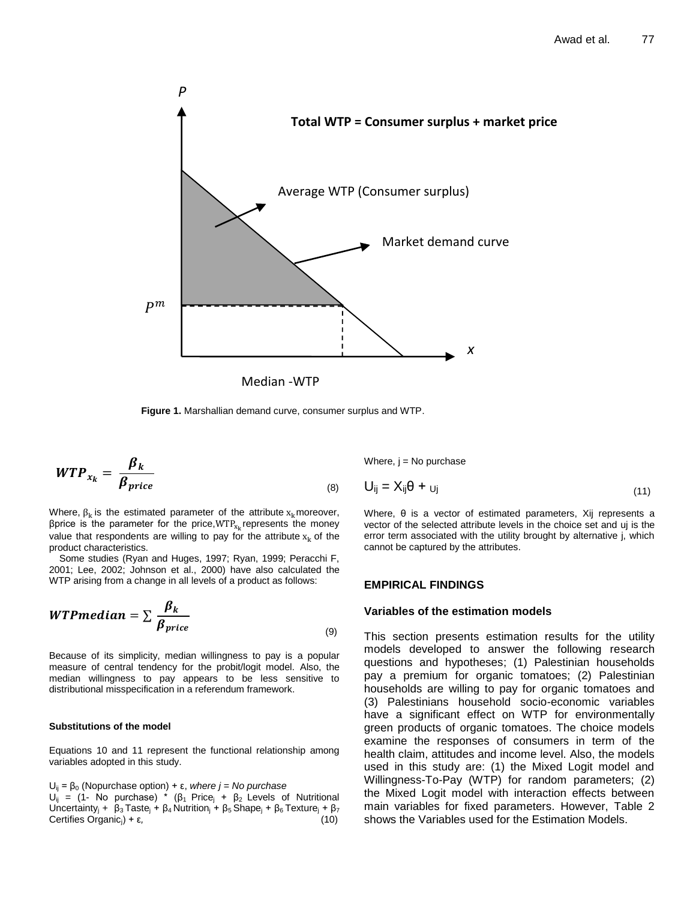

**Figure 1.** Marshallian demand curve, consumer surplus and WTP.

$$
WTP_{x_k} = \frac{\beta_k}{\beta_{price}}
$$
 (8)

Where,  $\beta_k$  is the estimated parameter of the attribute  $x_k$  moreover, βprice is the parameter for the price,  $WTP_{x_k}$  represents the money value that respondents are willing to pay for the attribute  $x_k$  of the product characteristics.

Some studies (Ryan and Huges, 1997; Ryan, 1999; Peracchi F, 2001; Lee, 2002; Johnson et al., 2000) have also calculated the WTP arising from a change in all levels of a product as follows:

$$
WTPmedian = \sum \frac{\beta_k}{\beta_{price}}
$$
 (9)

Because of its simplicity, median willingness to pay is a popular measure of central tendency for the probit/logit model. Also, the median willingness to pay appears to be less sensitive to distributional misspecification in a referendum framework.

#### **Substitutions of the model**

Equations 10 and 11 represent the functional relationship among variables adopted in this study.

### Uij = β<sup>0</sup> (Nopurchase option) + ε, *where j = No purchase*

 $U_{ij}$  = (1- No purchase) \* (β<sub>1</sub> Price<sub>j</sub> + β<sub>2</sub> Levels of Nutritional Uncertainty<sub>i</sub> +  $\beta_3$  Taste<sub>i</sub> +  $\beta_4$  Nutrition<sub>i</sub> +  $\beta_5$  Shape<sub>i</sub> +  $\beta_6$  Texture<sub>i</sub> +  $\beta_7$ Certifies Organicj) + ε*,* (10)

Where,  $j = No$  purchase

$$
U_{ij} = X_{ij}\theta + U_j
$$
 (11)

Where, θ is a vector of estimated parameters, Xij represents a vector of the selected attribute levels in the choice set and uj is the error term associated with the utility brought by alternative j, which cannot be captured by the attributes.

#### **EMPIRICAL FINDINGS**

## **Variables of the estimation models**

This section presents estimation results for the utility models developed to answer the following research questions and hypotheses; (1) Palestinian households pay a premium for organic tomatoes; (2) Palestinian households are willing to pay for organic tomatoes and (3) Palestinians household socio-economic variables have a significant effect on WTP for environmentally green products of organic tomatoes. The choice models examine the responses of consumers in term of the health claim, attitudes and income level. Also, the models used in this study are: (1) the Mixed Logit model and Willingness-To-Pay (WTP) for random parameters; (2) the Mixed Logit model with interaction effects between main variables for fixed parameters. However, Table 2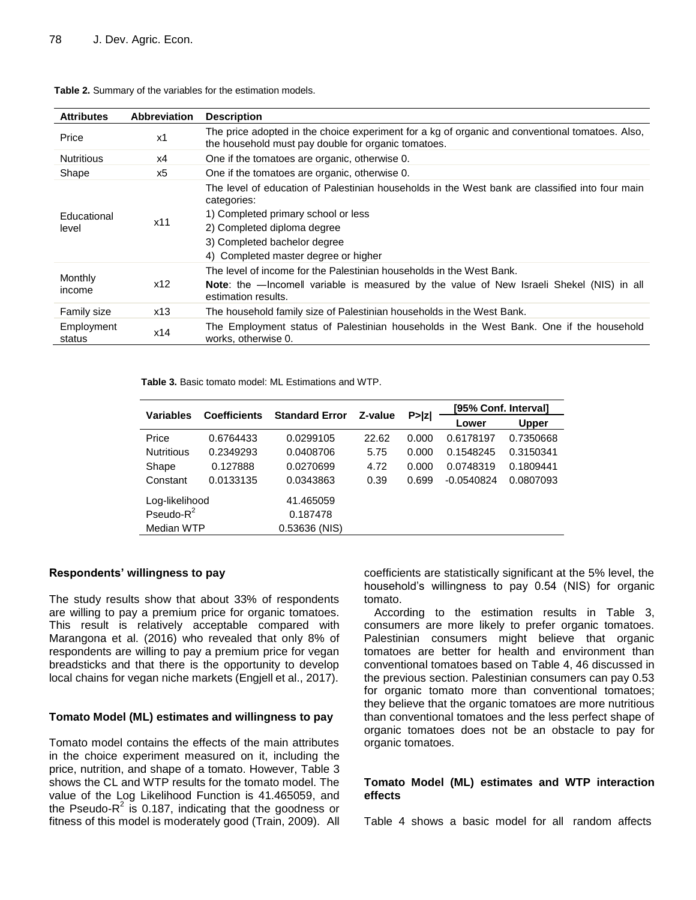| <b>Attributes</b>    | Abbreviation   | <b>Description</b>                                                                                                                                                                                                                                           |
|----------------------|----------------|--------------------------------------------------------------------------------------------------------------------------------------------------------------------------------------------------------------------------------------------------------------|
| Price                | x1             | The price adopted in the choice experiment for a kg of organic and conventional tomatoes. Also,<br>the household must pay double for organic tomatoes.                                                                                                       |
| <b>Nutritious</b>    | x4             | One if the tomatoes are organic, otherwise 0.                                                                                                                                                                                                                |
| Shape                | x <sub>5</sub> | One if the tomatoes are organic, otherwise 0.                                                                                                                                                                                                                |
| Educational<br>level | x11            | The level of education of Palestinian households in the West bank are classified into four main<br>categories:<br>1) Completed primary school or less<br>2) Completed diploma degree<br>3) Completed bachelor degree<br>4) Completed master degree or higher |
| Monthly<br>income    | x12            | The level of income for the Palestinian households in the West Bank.<br><b>Note:</b> the —lncomell variable is measured by the value of New Israeli Shekel (NIS) in all<br>estimation results.                                                               |
| Family size          | x13            | The household family size of Palestinian households in the West Bank.                                                                                                                                                                                        |
| Employment<br>status | x14            | The Employment status of Palestinian households in the West Bank. One if the household<br>works, otherwise 0.                                                                                                                                                |

**Table 2.** Summary of the variables for the estimation models.

**Table 3.** Basic tomato model: ML Estimations and WTP.

| <b>Variables</b>  | <b>Coefficients</b> | <b>Standard Error</b> | Z-value | P >  z | [95% Conf. Interval] |              |
|-------------------|---------------------|-----------------------|---------|--------|----------------------|--------------|
|                   |                     |                       |         |        | Lower                | <b>Upper</b> |
| Price             | 0.6764433           | 0.0299105             | 22.62   | 0.000  | 0.6178197            | 0.7350668    |
| <b>Nutritious</b> | 0.2349293           | 0.0408706             | 5.75    | 0.000  | 0.1548245            | 0.3150341    |
| Shape             | 0.127888            | 0.0270699             | 4.72    | 0.000  | 0.0748319            | 0.1809441    |
| Constant          | 0.0133135           | 0.0343863             | 0.39    | 0.699  | $-0.0540824$         | 0.0807093    |
| Log-likelihood    |                     | 41.465059             |         |        |                      |              |
| Pseudo- $R^2$     |                     | 0.187478              |         |        |                      |              |
| Median WTP        |                     | 0.53636 (NIS)         |         |        |                      |              |

## **Respondents' willingness to pay**

The study results show that about 33% of respondents are willing to pay a premium price for organic tomatoes. This result is relatively acceptable compared with Marangona et al. (2016) who revealed that only 8% of respondents are willing to pay a premium price for vegan breadsticks and that there is the opportunity to develop local chains for vegan niche markets (Engjell et al., 2017).

## **Tomato Model (ML) estimates and willingness to pay**

Tomato model contains the effects of the main attributes in the choice experiment measured on it, including the price, nutrition, and shape of a tomato. However, Table 3 shows the CL and WTP results for the tomato model. The value of the Log Likelihood Function is 41.465059, and the Pseudo- $R^2$  is 0.187, indicating that the goodness or fitness of this model is moderately good (Train, 2009). All

coefficients are statistically significant at the 5% level, the household's willingness to pay 0.54 (NIS) for organic tomato.

According to the estimation results in Table 3, consumers are more likely to prefer organic tomatoes. Palestinian consumers might believe that organic tomatoes are better for health and environment than conventional tomatoes based on Table 4, 46 discussed in the previous section. Palestinian consumers can pay 0.53 for organic tomato more than conventional tomatoes; they believe that the organic tomatoes are more nutritious than conventional tomatoes and the less perfect shape of organic tomatoes does not be an obstacle to pay for organic tomatoes.

## **Tomato Model (ML) estimates and WTP interaction effects**

Table 4 shows a basic model for all random affects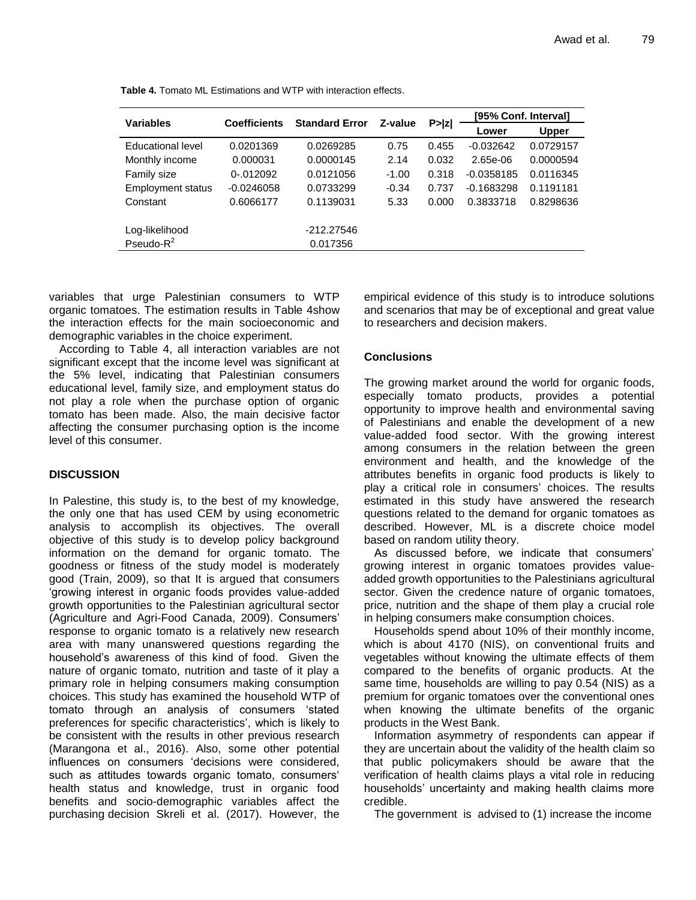| <b>Variables</b>         | <b>Coefficients</b> | <b>Standard Error</b> | Z-value | P >  z | [95% Conf. Interval] |              |
|--------------------------|---------------------|-----------------------|---------|--------|----------------------|--------------|
|                          |                     |                       |         |        | Lower                | <b>Upper</b> |
| Educational level        | 0.0201369           | 0.0269285             | 0.75    | 0.455  | $-0.032642$          | 0.0729157    |
| Monthly income           | 0.000031            | 0.0000145             | 2.14    | 0.032  | 2.65e-06             | 0.0000594    |
| Family size              | 0-.012092           | 0.0121056             | $-1.00$ | 0.318  | $-0.0358185$         | 0.0116345    |
| <b>Employment status</b> | $-0.0246058$        | 0.0733299             | $-0.34$ | 0.737  | $-0.1683298$         | 0.1191181    |
| Constant                 | 0.6066177           | 0.1139031             | 5.33    | 0.000  | 0.3833718            | 0.8298636    |
|                          |                     |                       |         |        |                      |              |
| Log-likelihood           |                     | $-212.27546$          |         |        |                      |              |
| Pseudo- $R^2$            |                     | 0.017356              |         |        |                      |              |

**Table 4.** Tomato ML Estimations and WTP with interaction effects.

variables that urge Palestinian consumers to WTP organic tomatoes. The estimation results in Table 4show the interaction effects for the main socioeconomic and demographic variables in the choice experiment.

According to Table 4, all interaction variables are not significant except that the income level was significant at the 5% level, indicating that Palestinian consumers educational level, family size, and employment status do not play a role when the purchase option of organic tomato has been made. Also, the main decisive factor affecting the consumer purchasing option is the income level of this consumer.

# **DISCUSSION**

In Palestine, this study is, to the best of my knowledge, the only one that has used CEM by using econometric analysis to accomplish its objectives. The overall objective of this study is to develop policy background information on the demand for organic tomato. The goodness or fitness of the study model is moderately good (Train, 2009), so that It is argued that consumers 'growing interest in organic foods provides value-added growth opportunities to the Palestinian agricultural sector (Agriculture and Agri-Food Canada, 2009). Consumers' response to organic tomato is a relatively new research area with many unanswered questions regarding the household's awareness of this kind of food. Given the nature of organic tomato, nutrition and taste of it play a primary role in helping consumers making consumption choices. This study has examined the household WTP of tomato through an analysis of consumers 'stated preferences for specific characteristics', which is likely to be consistent with the results in other previous research (Marangona et al., 2016). Also, some other potential influences on consumers 'decisions were considered, such as attitudes towards organic tomato, consumers' health status and knowledge, trust in organic food benefits and socio-demographic variables affect the purchasing decision Skreli et al. (2017). However, the

empirical evidence of this study is to introduce solutions and scenarios that may be of exceptional and great value to researchers and decision makers.

## **Conclusions**

The growing market around the world for organic foods, especially tomato products, provides a potential opportunity to improve health and environmental saving of Palestinians and enable the development of a new value-added food sector. With the growing interest among consumers in the relation between the green environment and health, and the knowledge of the attributes benefits in organic food products is likely to play a critical role in consumers' choices. The results estimated in this study have answered the research questions related to the demand for organic tomatoes as described. However, ML is a discrete choice model based on random utility theory.

As discussed before, we indicate that consumers' growing interest in organic tomatoes provides valueadded growth opportunities to the Palestinians agricultural sector. Given the credence nature of organic tomatoes, price, nutrition and the shape of them play a crucial role in helping consumers make consumption choices.

Households spend about 10% of their monthly income, which is about 4170 (NIS), on conventional fruits and vegetables without knowing the ultimate effects of them compared to the benefits of organic products. At the same time, households are willing to pay 0.54 (NIS) as a premium for organic tomatoes over the conventional ones when knowing the ultimate benefits of the organic products in the West Bank.

Information asymmetry of respondents can appear if they are uncertain about the validity of the health claim so that public policymakers should be aware that the verification of health claims plays a vital role in reducing households' uncertainty and making health claims more credible.

The government is advised to (1) increase the income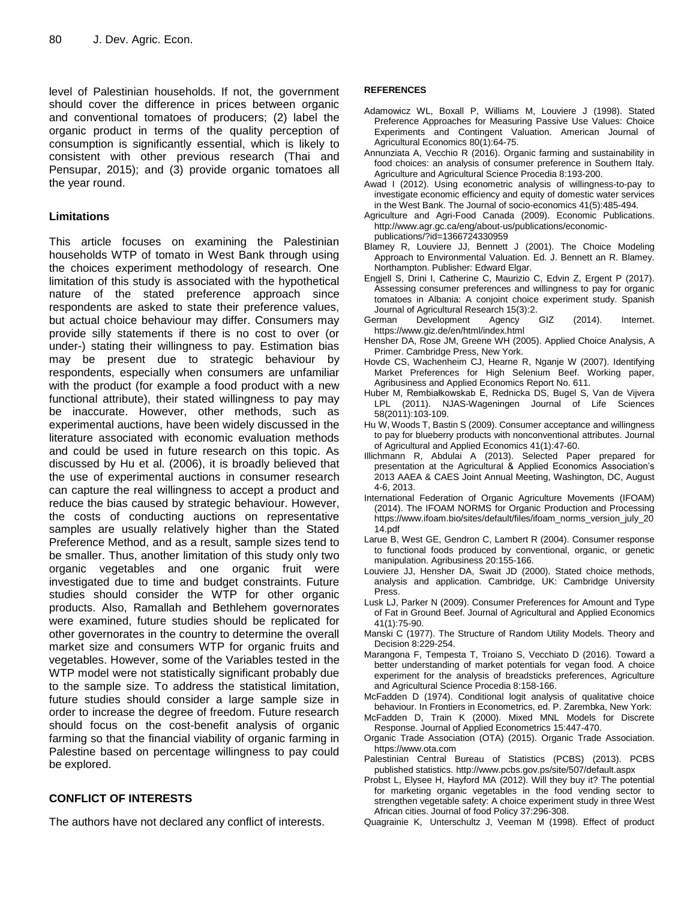level of Palestinian households. If not, the government should cover the difference in prices between organic and conventional tomatoes of producers; (2) label the organic product in terms of the quality perception of consumption is significantly essential, which is likely to consistent with other previous research (Thai and Pensupar, 2015); and (3) provide organic tomatoes all the year round.

## **Limitations**

This article focuses on examining the Palestinian households WTP of tomato in West Bank through using the choices experiment methodology of research. One limitation of this study is associated with the hypothetical nature of the stated preference approach since respondents are asked to state their preference values, but actual choice behaviour may differ. Consumers may provide silly statements if there is no cost to over (or under-) stating their willingness to pay. Estimation bias may be present due to strategic behaviour by respondents, especially when consumers are unfamiliar with the product (for example a food product with a new functional attribute), their stated willingness to pay may be inaccurate. However, other methods, such as experimental auctions, have been widely discussed in the literature associated with economic evaluation methods and could be used in future research on this topic. As discussed by Hu et al. (2006), it is broadly believed that the use of experimental auctions in consumer research can capture the real willingness to accept a product and reduce the bias caused by strategic behaviour. However, the costs of conducting auctions on representative samples are usually relatively higher than the Stated Preference Method, and as a result, sample sizes tend to be smaller. Thus, another limitation of this study only two organic vegetables and one organic fruit were investigated due to time and budget constraints. Future studies should consider the WTP for other organic products. Also, Ramallah and Bethlehem governorates were examined, future studies should be replicated for other governorates in the country to determine the overall market size and consumers WTP for organic fruits and vegetables. However, some of the Variables tested in the WTP model were not statistically significant probably due to the sample size. To address the statistical limitation, future studies should consider a large sample size in order to increase the degree of freedom. Future research should focus on the cost-benefit analysis of organic farming so that the financial viability of organic farming in Palestine based on percentage willingness to pay could be explored.

# **CONFLICT OF INTERESTS**

The authors have not declared any conflict of interests.

## **REFERENCES**

- Adamowicz WL, Boxall P, Williams M, Louviere J (1998). Stated Preference Approaches for Measuring Passive Use Values: Choice Experiments and Contingent Valuation. American Journal of Agricultural Economics 80(1):64-75.
- Annunziata A, Vecchio R (2016). Organic farming and sustainability in food choices: an analysis of consumer preference in Southern Italy. Agriculture and Agricultural Science Procedia 8:193-200.
- Awad I (2012). Using econometric analysis of willingness-to-pay to investigate economic efficiency and equity of domestic water services in the West Bank. The Journal of socio-economics 41(5):485-494.
- Agriculture and Agri-Food Canada (2009). Economic Publications. http://www.agr.gc.ca/eng/about-us/publications/economicpublications/?id=1366724330959
- Blamey R, Louviere JJ, Bennett J (2001). The Choice Modeling Approach to Environmental Valuation. Ed. J. Bennett an R. Blamey. Northampton. Publisher: Edward Elgar.
- Engjell S, Drini I, Catherine C, Maurizio C, Edvin Z, Ergent P (2017). Assessing consumer preferences and willingness to pay for organic tomatoes in Albania: A conjoint choice experiment study. Spanish Journal of Agricultural Research 15(3):2.
- German Development Agency GIZ (2014). Internet. https://www.giz.de/en/html/index.html
- Hensher DA, Rose JM, Greene WH (2005). Applied Choice Analysis, A Primer. Cambridge Press, New York.
- Hovde CS, Wachenheim CJ, Hearne R, Nganje W (2007). Identifying Market Preferences for High Selenium Beef. Working paper, Agribusiness and Applied Economics Report No. 611.
- Huber M, Rembiałkowskab E, Rednicka DS, Bugel S, Van de Vijvera LPL (2011). NJAS-Wageningen Journal of Life Sciences 58(2011):103-109.
- Hu W, Woods T, Bastin S (2009). Consumer acceptance and willingness to pay for blueberry products with nonconventional attributes. Journal of Agricultural and Applied Economics 41(1):47-60.
- Illichmann R, Abdulai A (2013). Selected Paper prepared for presentation at the Agricultural & Applied Economics Association's 2013 AAEA & CAES Joint Annual Meeting, Washington, DC, August 4-6, 2013.
- International Federation of Organic Agriculture Movements (IFOAM) (2014). The IFOAM NORMS for Organic Production and Processing https://www.ifoam.bio/sites/default/files/ifoam\_norms\_version\_july\_20 14.pdf
- Larue B, West GE, Gendron C, Lambert R (2004). Consumer response to functional foods produced by conventional, organic, or genetic manipulation. Agribusiness 20:155-166.
- Louviere JJ, Hensher DA, Swait JD (2000). Stated choice methods, analysis and application. Cambridge, UK: Cambridge University Press.
- Lusk LJ, Parker N (2009). Consumer Preferences for Amount and Type of Fat in Ground Beef. Journal of Agricultural and Applied Economics 41(1):75-90.
- Manski C (1977). The Structure of Random Utility Models. Theory and Decision 8:229-254.
- Marangona F, Tempesta T, Troiano S, Vecchiato D (2016). Toward a better understanding of market potentials for vegan food. A choice experiment for the analysis of breadsticks preferences, Agriculture and Agricultural Science Procedia 8:158-166.
- McFadden D (1974). Conditional logit analysis of qualitative choice behaviour. In Frontiers in Econometrics, ed. P. Zarembka, New York:
- McFadden D, Train K (2000). Mixed MNL Models for Discrete Response. Journal of Applied Econometrics 15:447-470.
- Organic Trade Association (OTA) (2015). Organic Trade Association. https://www.ota.com
- Palestinian Central Bureau of Statistics (PCBS) (2013). PCBS published statistics. http://www.pcbs.gov.ps/site/507/default.aspx
- Probst L, Elysee H, Hayford MA (2012). Will they buy it? The potential for marketing organic vegetables in the food vending sector to strengthen vegetable safety: A choice experiment study in three West African cities. Journal of food Policy 37:296-308.
- Quagrainie K, Unterschultz J, Veeman M (1998). Effect of product